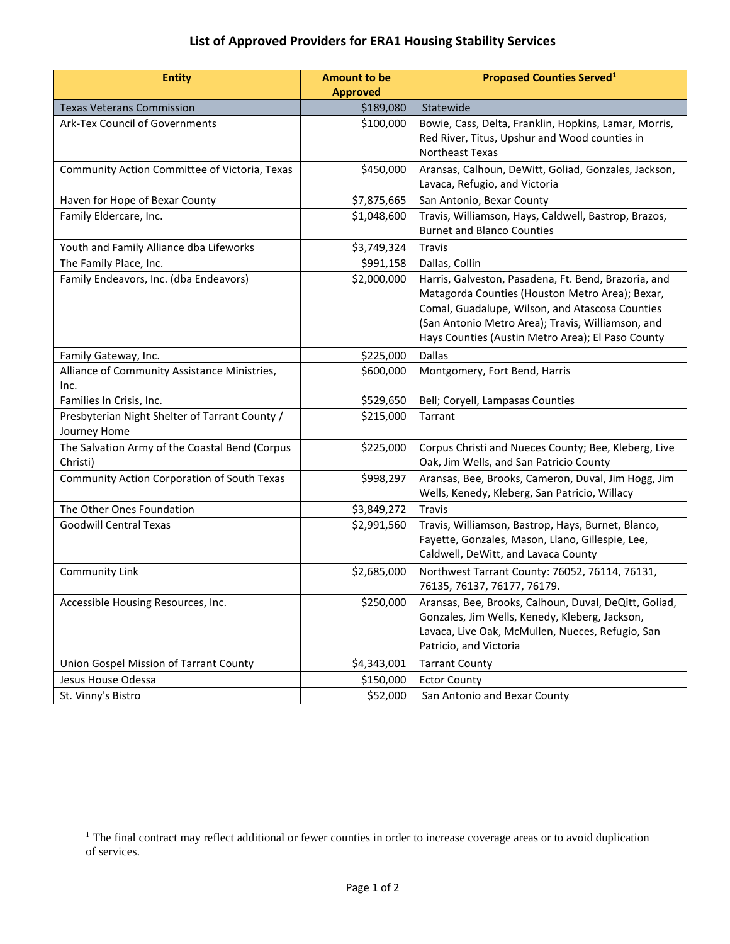## **List of Approved Providers for ERA1 Housing Stability Services**

| <b>Entity</b>                                                  | <b>Amount to be</b><br><b>Approved</b> | <b>Proposed Counties Served</b> <sup>1</sup>                                                                                                                                                                                                                         |
|----------------------------------------------------------------|----------------------------------------|----------------------------------------------------------------------------------------------------------------------------------------------------------------------------------------------------------------------------------------------------------------------|
| <b>Texas Veterans Commission</b>                               | \$189,080                              | Statewide                                                                                                                                                                                                                                                            |
| <b>Ark-Tex Council of Governments</b>                          | \$100,000                              | Bowie, Cass, Delta, Franklin, Hopkins, Lamar, Morris,<br>Red River, Titus, Upshur and Wood counties in<br>Northeast Texas                                                                                                                                            |
| Community Action Committee of Victoria, Texas                  | \$450,000                              | Aransas, Calhoun, DeWitt, Goliad, Gonzales, Jackson,<br>Lavaca, Refugio, and Victoria                                                                                                                                                                                |
| Haven for Hope of Bexar County                                 | \$7,875,665                            | San Antonio, Bexar County                                                                                                                                                                                                                                            |
| Family Eldercare, Inc.                                         | \$1,048,600                            | Travis, Williamson, Hays, Caldwell, Bastrop, Brazos,<br><b>Burnet and Blanco Counties</b>                                                                                                                                                                            |
| Youth and Family Alliance dba Lifeworks                        | \$3,749,324                            | Travis                                                                                                                                                                                                                                                               |
| The Family Place, Inc.                                         | \$991,158                              | Dallas, Collin                                                                                                                                                                                                                                                       |
| Family Endeavors, Inc. (dba Endeavors)                         | \$2,000,000                            | Harris, Galveston, Pasadena, Ft. Bend, Brazoria, and<br>Matagorda Counties (Houston Metro Area); Bexar,<br>Comal, Guadalupe, Wilson, and Atascosa Counties<br>(San Antonio Metro Area); Travis, Williamson, and<br>Hays Counties (Austin Metro Area); El Paso County |
| Family Gateway, Inc.                                           | \$225,000                              | <b>Dallas</b>                                                                                                                                                                                                                                                        |
| Alliance of Community Assistance Ministries,<br>Inc.           | \$600,000                              | Montgomery, Fort Bend, Harris                                                                                                                                                                                                                                        |
| Families In Crisis, Inc.                                       | \$529,650                              | Bell; Coryell, Lampasas Counties                                                                                                                                                                                                                                     |
| Presbyterian Night Shelter of Tarrant County /<br>Journey Home | \$215,000                              | Tarrant                                                                                                                                                                                                                                                              |
| The Salvation Army of the Coastal Bend (Corpus<br>Christi)     | \$225,000                              | Corpus Christi and Nueces County; Bee, Kleberg, Live<br>Oak, Jim Wells, and San Patricio County                                                                                                                                                                      |
| Community Action Corporation of South Texas                    | \$998,297                              | Aransas, Bee, Brooks, Cameron, Duval, Jim Hogg, Jim<br>Wells, Kenedy, Kleberg, San Patricio, Willacy                                                                                                                                                                 |
| The Other Ones Foundation                                      | \$3,849,272                            | Travis                                                                                                                                                                                                                                                               |
| <b>Goodwill Central Texas</b>                                  | \$2,991,560                            | Travis, Williamson, Bastrop, Hays, Burnet, Blanco,<br>Fayette, Gonzales, Mason, Llano, Gillespie, Lee,<br>Caldwell, DeWitt, and Lavaca County                                                                                                                        |
| Community Link                                                 | \$2,685,000                            | Northwest Tarrant County: 76052, 76114, 76131,<br>76135, 76137, 76177, 76179.                                                                                                                                                                                        |
| Accessible Housing Resources, Inc.                             | \$250,000                              | Aransas, Bee, Brooks, Calhoun, Duval, DeQitt, Goliad,<br>Gonzales, Jim Wells, Kenedy, Kleberg, Jackson,<br>Lavaca, Live Oak, McMullen, Nueces, Refugio, San<br>Patricio, and Victoria                                                                                |
| Union Gospel Mission of Tarrant County                         | \$4,343,001                            | <b>Tarrant County</b>                                                                                                                                                                                                                                                |
| Jesus House Odessa                                             | \$150,000                              | <b>Ector County</b>                                                                                                                                                                                                                                                  |
| St. Vinny's Bistro                                             | \$52,000                               | San Antonio and Bexar County                                                                                                                                                                                                                                         |

 $\overline{a}$ 

 $1$  The final contract may reflect additional or fewer counties in order to increase coverage areas or to avoid duplication of services.